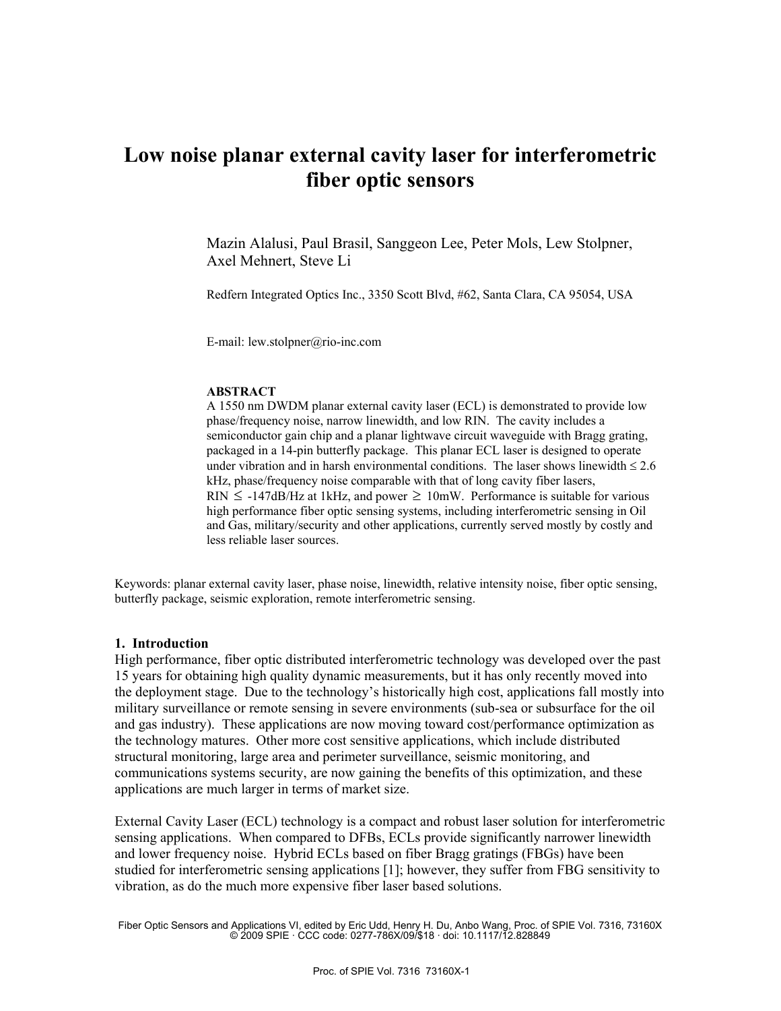# **Low noise planar external cavity laser for interferometric fiber optic sensors**

Mazin Alalusi, Paul Brasil, Sanggeon Lee, Peter Mols, Lew Stolpner, Axel Mehnert, Steve Li

Redfern Integrated Optics Inc., 3350 Scott Blvd, #62, Santa Clara, CA 95054, USA

E-mail: lew.stolpner@rio-inc.com

#### **ABSTRACT**

A 1550 nm DWDM planar external cavity laser (ECL) is demonstrated to provide low phase/frequency noise, narrow linewidth, and low RIN. The cavity includes a semiconductor gain chip and a planar lightwave circuit waveguide with Bragg grating, packaged in a 14-pin butterfly package. This planar ECL laser is designed to operate under vibration and in harsh environmental conditions. The laser shows linewidth  $\leq 2.6$ kHz, phase/frequency noise comparable with that of long cavity fiber lasers, RIN  $\leq$  -147dB/Hz at 1kHz, and power  $\geq$  10mW. Performance is suitable for various high performance fiber optic sensing systems, including interferometric sensing in Oil and Gas, military/security and other applications, currently served mostly by costly and less reliable laser sources.

Keywords: planar external cavity laser, phase noise, linewidth, relative intensity noise, fiber optic sensing, butterfly package, seismic exploration, remote interferometric sensing.

#### **1. Introduction**

High performance, fiber optic distributed interferometric technology was developed over the past 15 years for obtaining high quality dynamic measurements, but it has only recently moved into the deployment stage. Due to the technology's historically high cost, applications fall mostly into military surveillance or remote sensing in severe environments (sub-sea or subsurface for the oil and gas industry). These applications are now moving toward cost/performance optimization as the technology matures. Other more cost sensitive applications, which include distributed structural monitoring, large area and perimeter surveillance, seismic monitoring, and communications systems security, are now gaining the benefits of this optimization, and these applications are much larger in terms of market size.

External Cavity Laser (ECL) technology is a compact and robust laser solution for interferometric sensing applications. When compared to DFBs, ECLs provide significantly narrower linewidth and lower frequency noise. Hybrid ECLs based on fiber Bragg gratings (FBGs) have been studied for interferometric sensing applications [1]; however, they suffer from FBG sensitivity to vibration, as do the much more expensive fiber laser based solutions.

Fiber Optic Sensors and Applications VI, edited by Eric Udd, Henry H. Du, Anbo Wang, Proc. of SPIE Vol. 7316, 73160X © 2009 SPIE · CCC code: 0277-786X/09/\$18 · doi: 10.1117/12.828849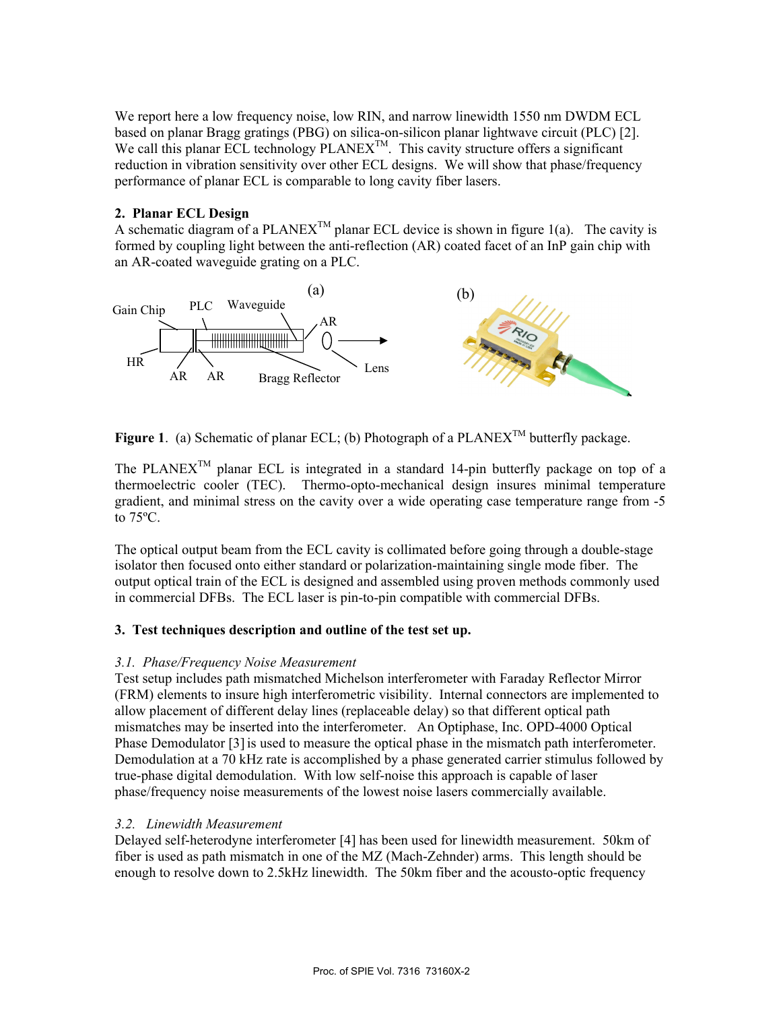We report here a low frequency noise, low RIN, and narrow linewidth 1550 nm DWDM ECL based on planar Bragg gratings (PBG) on silica-on-silicon planar lightwave circuit (PLC) [2]. We call this planar ECL technology PLANEX<sup>TM</sup>. This cavity structure offers a significant reduction in vibration sensitivity over other ECL designs. We will show that phase/frequency performance of planar ECL is comparable to long cavity fiber lasers.

# **2. Planar ECL Design**

A schematic diagram of a PLANEX<sup>TM</sup> planar ECL device is shown in figure 1(a). The cavity is formed by coupling light between the anti-reflection (AR) coated facet of an InP gain chip with an AR-coated waveguide grating on a PLC.



**Figure 1.** (a) Schematic of planar ECL; (b) Photograph of a  $PLANEX^{TM}$  butterfly package.

The PLANEX<sup>TM</sup> planar ECL is integrated in a standard 14-pin butterfly package on top of a thermoelectric cooler (TEC). Thermo-opto-mechanical design insures minimal temperature gradient, and minimal stress on the cavity over a wide operating case temperature range from -5 to 75ºC.

The optical output beam from the ECL cavity is collimated before going through a double-stage isolator then focused onto either standard or polarization-maintaining single mode fiber. The output optical train of the ECL is designed and assembled using proven methods commonly used in commercial DFBs. The ECL laser is pin-to-pin compatible with commercial DFBs.

# **3. Test techniques description and outline of the test set up.**

# *3.1. Phase/Frequency Noise Measurement*

Test setup includes path mismatched Michelson interferometer with Faraday Reflector Mirror (FRM) elements to insure high interferometric visibility. Internal connectors are implemented to allow placement of different delay lines (replaceable delay) so that different optical path mismatches may be inserted into the interferometer. An Optiphase, Inc. OPD-4000 Optical Phase Demodulator [3] is used to measure the optical phase in the mismatch path interferometer. Demodulation at a 70 kHz rate is accomplished by a phase generated carrier stimulus followed by true-phase digital demodulation. With low self-noise this approach is capable of laser phase/frequency noise measurements of the lowest noise lasers commercially available.

# *3.2. Linewidth Measurement*

Delayed self-heterodyne interferometer [4] has been used for linewidth measurement. 50km of fiber is used as path mismatch in one of the MZ (Mach-Zehnder) arms. This length should be enough to resolve down to 2.5kHz linewidth. The 50km fiber and the acousto-optic frequency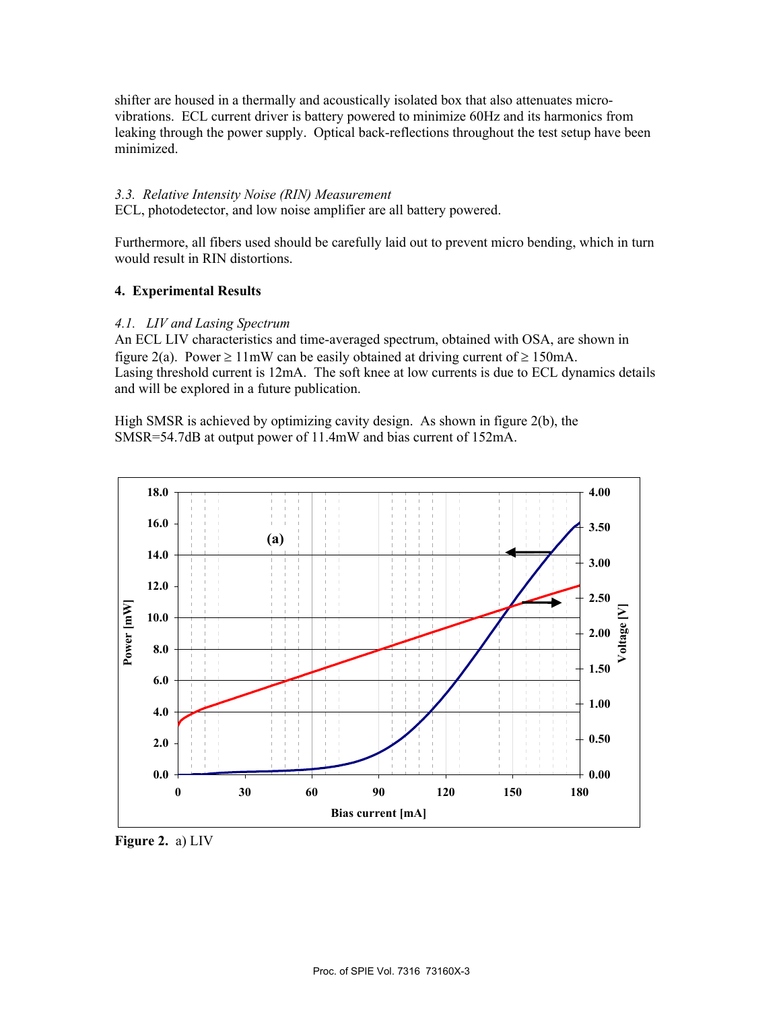shifter are housed in a thermally and acoustically isolated box that also attenuates microvibrations. ECL current driver is battery powered to minimize 60Hz and its harmonics from leaking through the power supply. Optical back-reflections throughout the test setup have been minimized.

#### *3.3. Relative Intensity Noise (RIN) Measurement*

ECL, photodetector, and low noise amplifier are all battery powered.

Furthermore, all fibers used should be carefully laid out to prevent micro bending, which in turn would result in RIN distortions.

# **4. Experimental Results**

#### *4.1. LIV and Lasing Spectrum*

An ECL LIV characteristics and time-averaged spectrum, obtained with OSA, are shown in figure 2(a). Power  $\geq 11$ mW can be easily obtained at driving current of  $\geq 150$ mA. Lasing threshold current is 12mA. The soft knee at low currents is due to ECL dynamics details and will be explored in a future publication.

High SMSR is achieved by optimizing cavity design. As shown in figure 2(b), the SMSR=54.7dB at output power of 11.4mW and bias current of 152mA.



**Figure 2.** a) LIV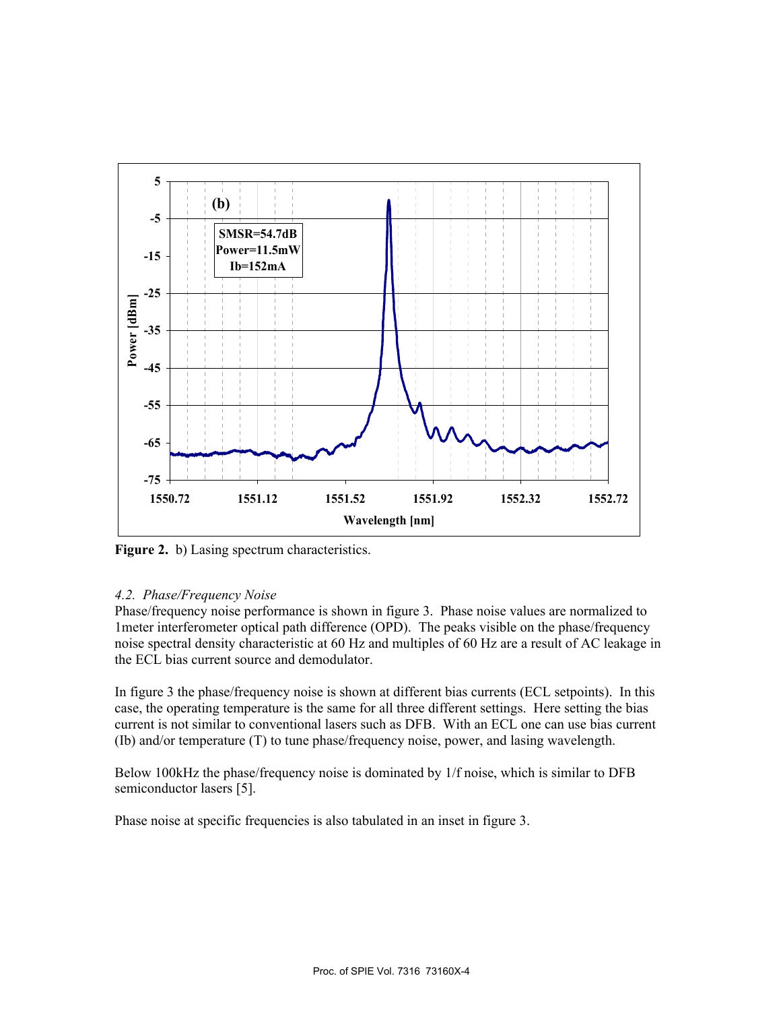

**Figure 2.** b) Lasing spectrum characteristics.

# *4.2. Phase/Frequency Noise*

Phase/frequency noise performance is shown in figure 3. Phase noise values are normalized to 1meter interferometer optical path difference (OPD). The peaks visible on the phase/frequency noise spectral density characteristic at 60 Hz and multiples of 60 Hz are a result of AC leakage in the ECL bias current source and demodulator.

In figure 3 the phase/frequency noise is shown at different bias currents (ECL setpoints). In this case, the operating temperature is the same for all three different settings. Here setting the bias current is not similar to conventional lasers such as DFB. With an ECL one can use bias current (Ib) and/or temperature (T) to tune phase/frequency noise, power, and lasing wavelength.

Below 100kHz the phase/frequency noise is dominated by 1/f noise, which is similar to DFB semiconductor lasers [5].

Phase noise at specific frequencies is also tabulated in an inset in figure 3.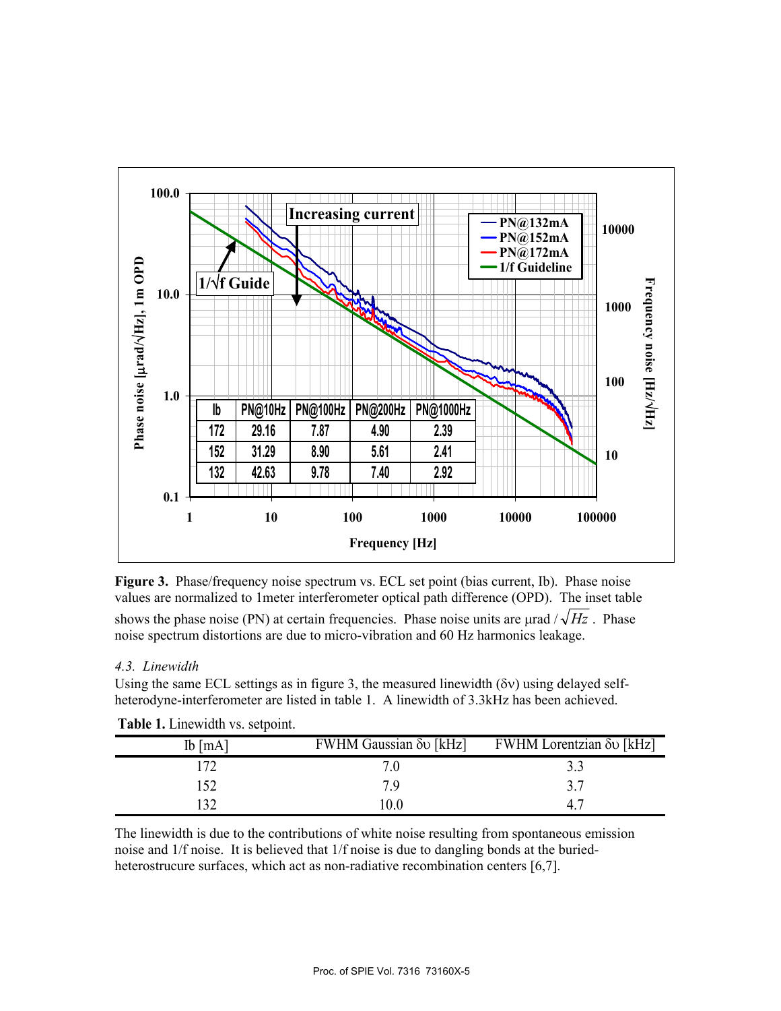

**Figure 3.** Phase/frequency noise spectrum vs. ECL set point (bias current, Ib). Phase noise values are normalized to 1meter interferometer optical path difference (OPD). The inset table shows the phase noise (PN) at certain frequencies. Phase noise units are urad  $\sqrt{Hz}$ . Phase noise spectrum distortions are due to micro-vibration and 60 Hz harmonics leakage.

# *4.3. Linewidth*

Using the same ECL settings as in figure 3, the measured linewidth ( $\delta v$ ) using delayed selfheterodyne-interferometer are listed in table 1. A linewidth of 3.3kHz has been achieved.

| $Ib$ [mA] | FWHM Gaussian $\delta v$ [kHz] | <b>EWHM</b> Lorentzian δυ [kHz] |
|-----------|--------------------------------|---------------------------------|
| 172       |                                | 3.3                             |
| 152       | 7 Q                            | 37                              |
| 132       | 10.0                           | 47                              |

**Table 1.** Linewidth vs. setpoint.

The linewidth is due to the contributions of white noise resulting from spontaneous emission noise and 1/f noise. It is believed that 1/f noise is due to dangling bonds at the buriedheterostrucure surfaces, which act as non-radiative recombination centers [6,7].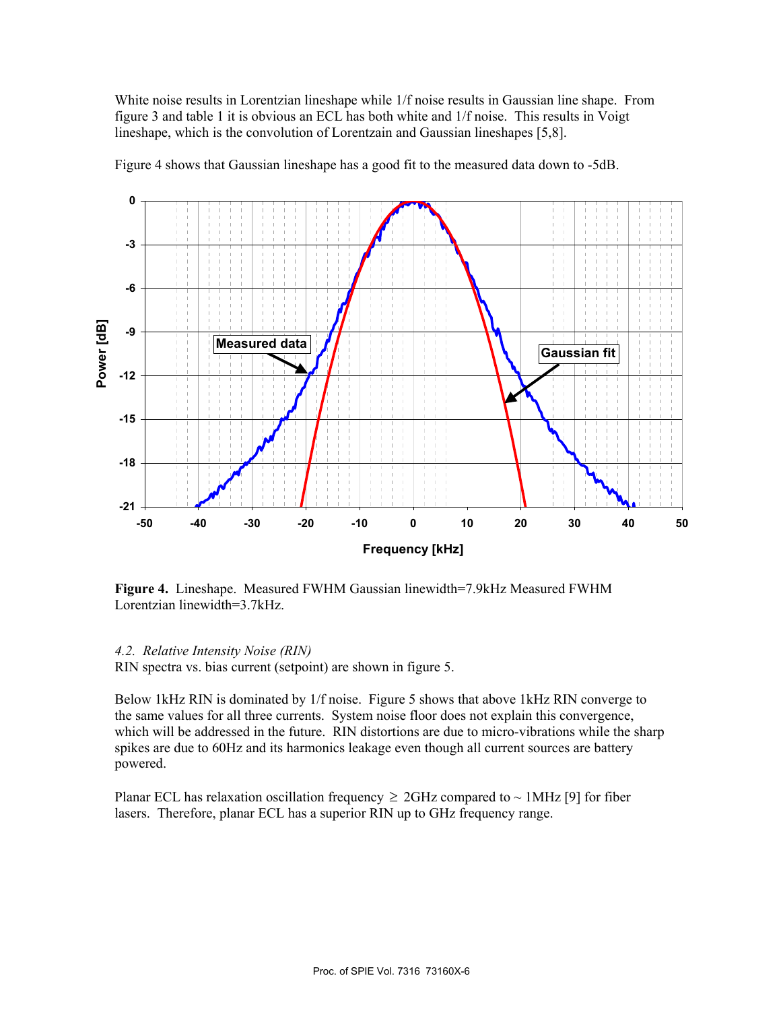White noise results in Lorentzian lineshape while 1/f noise results in Gaussian line shape. From figure 3 and table 1 it is obvious an ECL has both white and 1/f noise. This results in Voigt lineshape, which is the convolution of Lorentzain and Gaussian lineshapes [5,8].

Figure 4 shows that Gaussian lineshape has a good fit to the measured data down to -5dB.



**Figure 4.** Lineshape. Measured FWHM Gaussian linewidth=7.9kHz Measured FWHM Lorentzian linewidth=3.7kHz.

#### *4.2. Relative Intensity Noise (RIN)*

RIN spectra vs. bias current (setpoint) are shown in figure 5.

Below 1kHz RIN is dominated by 1/f noise. Figure 5 shows that above 1kHz RIN converge to the same values for all three currents. System noise floor does not explain this convergence, which will be addressed in the future. RIN distortions are due to micro-vibrations while the sharp spikes are due to 60Hz and its harmonics leakage even though all current sources are battery powered.

Planar ECL has relaxation oscillation frequency  $\geq$  2GHz compared to  $\sim$  1MHz [9] for fiber lasers. Therefore, planar ECL has a superior RIN up to GHz frequency range.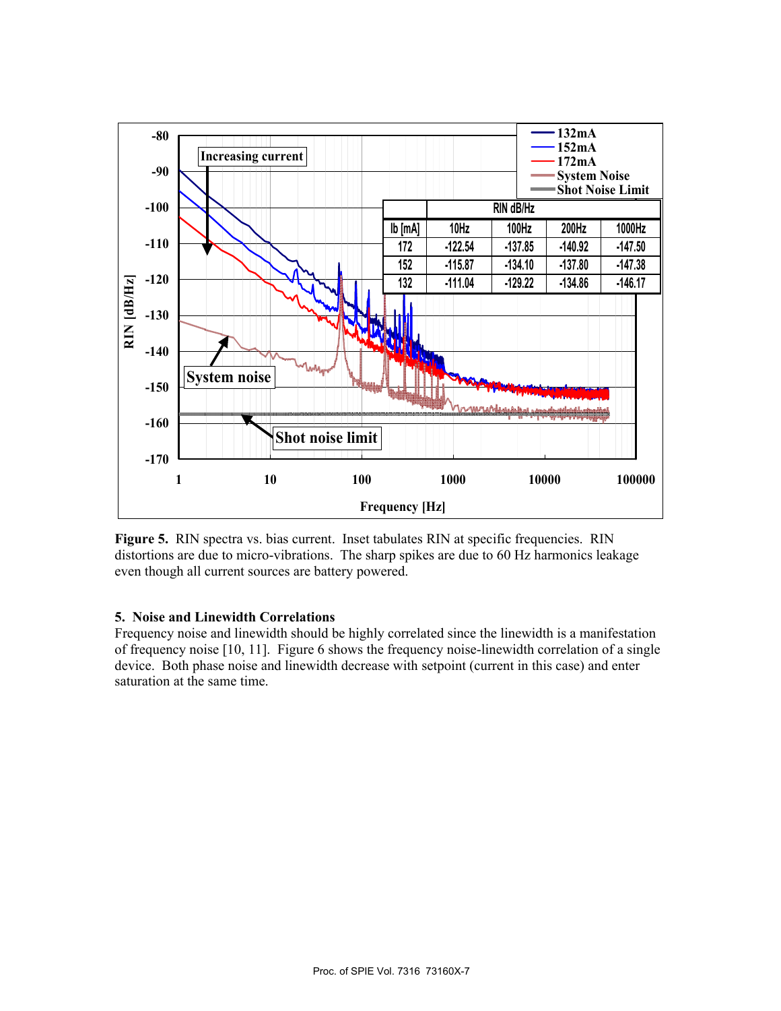

**Figure 5.** RIN spectra vs. bias current. Inset tabulates RIN at specific frequencies. RIN distortions are due to micro-vibrations. The sharp spikes are due to 60 Hz harmonics leakage even though all current sources are battery powered.

# **5. Noise and Linewidth Correlations**

Frequency noise and linewidth should be highly correlated since the linewidth is a manifestation of frequency noise [10, 11]. Figure 6 shows the frequency noise-linewidth correlation of a single device. Both phase noise and linewidth decrease with setpoint (current in this case) and enter saturation at the same time.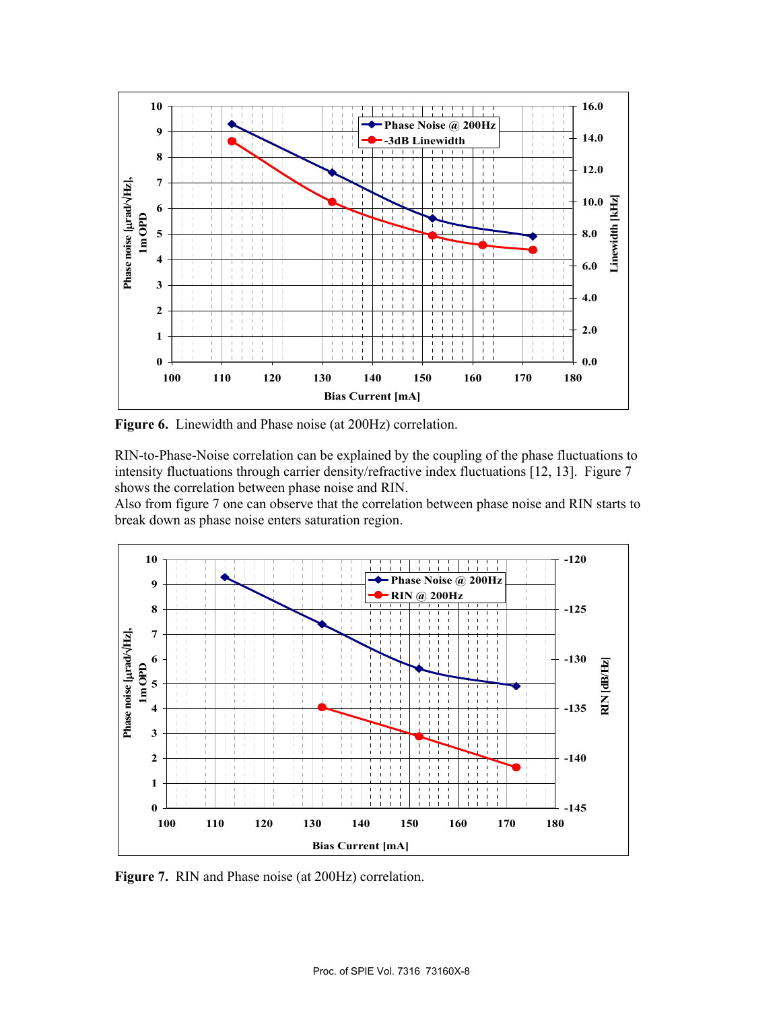

**Figure 6.** Linewidth and Phase noise (at 200Hz) correlation.

RIN-to-Phase-Noise correlation can be explained by the coupling of the phase fluctuations to intensity fluctuations through carrier density/refractive index fluctuations [12, 13]. Figure 7 shows the correlation between phase noise and RIN.

Also from figure 7 one can observe that the correlation between phase noise and RIN starts to break down as phase noise enters saturation region.



**Figure 7.** RIN and Phase noise (at 200Hz) correlation.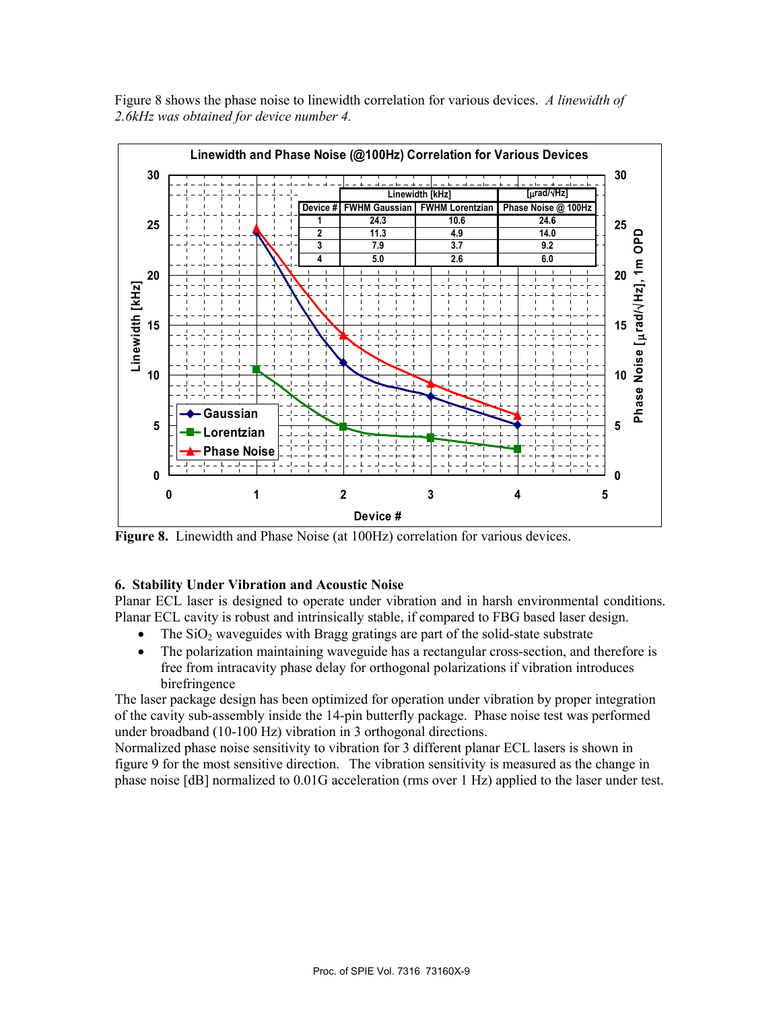Figure 8 shows the phase noise to linewidth correlation for various devices. *A linewidth of 2.6kHz was obtained for device number 4.*



**Figure 8.** Linewidth and Phase Noise (at 100Hz) correlation for various devices.

# **6. Stability Under Vibration and Acoustic Noise**

Planar ECL laser is designed to operate under vibration and in harsh environmental conditions. Planar ECL cavity is robust and intrinsically stable, if compared to FBG based laser design.

- The  $SiO<sub>2</sub>$  waveguides with Bragg gratings are part of the solid-state substrate
- The polarization maintaining waveguide has a rectangular cross-section, and therefore is free from intracavity phase delay for orthogonal polarizations if vibration introduces birefringence

The laser package design has been optimized for operation under vibration by proper integration of the cavity sub-assembly inside the 14-pin butterfly package. Phase noise test was performed under broadband (10-100 Hz) vibration in 3 orthogonal directions.

Normalized phase noise sensitivity to vibration for 3 different planar ECL lasers is shown in figure 9 for the most sensitive direction. The vibration sensitivity is measured as the change in phase noise [dB] normalized to 0.01G acceleration (rms over 1 Hz) applied to the laser under test.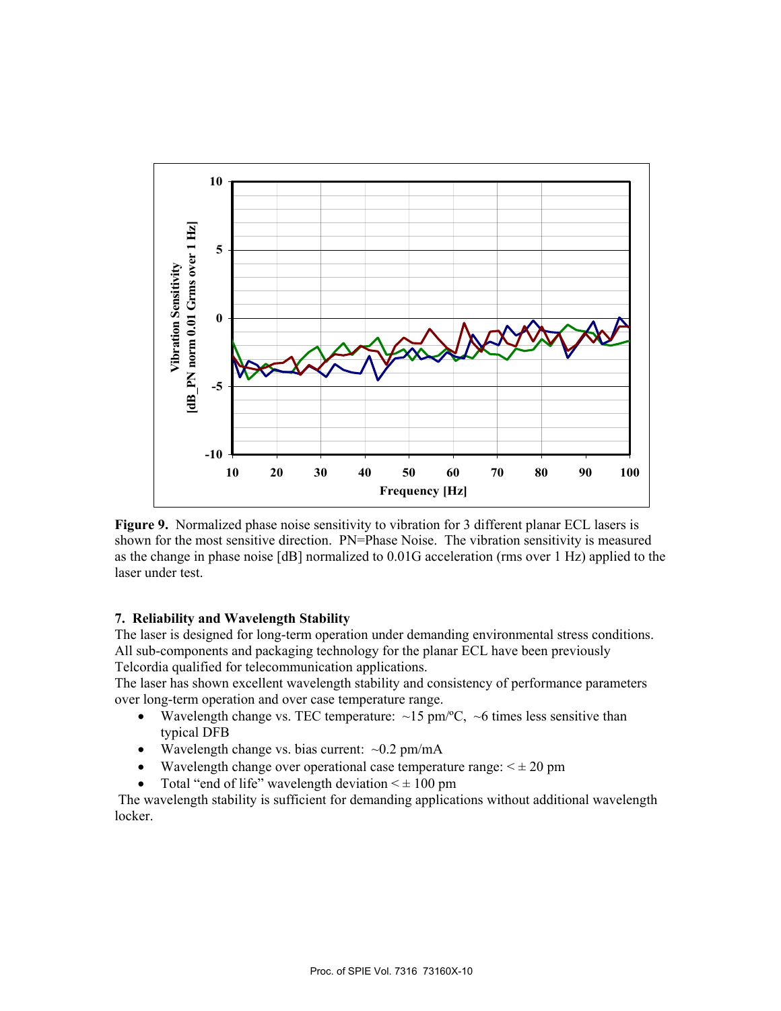

**Figure 9.** Normalized phase noise sensitivity to vibration for 3 different planar ECL lasers is shown for the most sensitive direction. PN=Phase Noise. The vibration sensitivity is measured as the change in phase noise [dB] normalized to 0.01G acceleration (rms over 1 Hz) applied to the laser under test.

# **7. Reliability and Wavelength Stability**

The laser is designed for long-term operation under demanding environmental stress conditions. All sub-components and packaging technology for the planar ECL have been previously Telcordia qualified for telecommunication applications.

The laser has shown excellent wavelength stability and consistency of performance parameters over long-term operation and over case temperature range.

- Wavelength change vs. TEC temperature:  $\sim$ 15 pm/°C,  $\sim$ 6 times less sensitive than typical DFB
- Wavelength change vs. bias current:  $\sim 0.2$  pm/mA
- Wavelength change over operational case temperature range:  $\leq \pm 20$  pm
- Total "end of life" wavelength deviation  $\leq \pm 100$  pm

 The wavelength stability is sufficient for demanding applications without additional wavelength locker.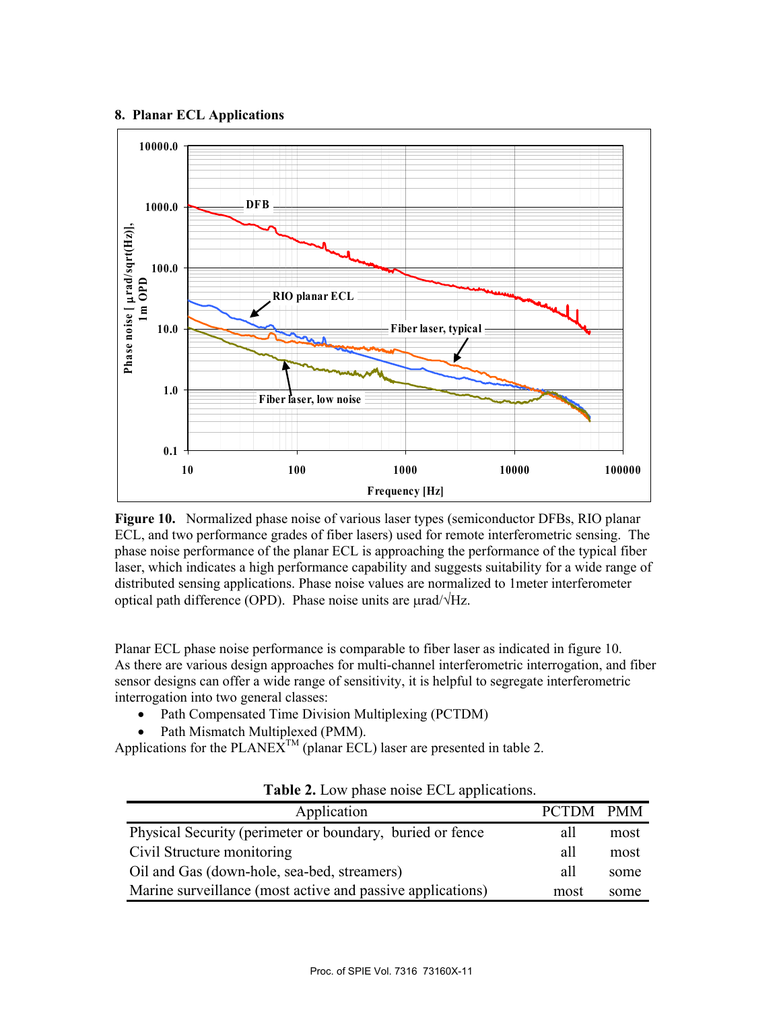#### **8. Planar ECL Applications**



**Figure 10.** Normalized phase noise of various laser types (semiconductor DFBs, RIO planar ECL, and two performance grades of fiber lasers) used for remote interferometric sensing. The phase noise performance of the planar ECL is approaching the performance of the typical fiber laser, which indicates a high performance capability and suggests suitability for a wide range of distributed sensing applications. Phase noise values are normalized to 1meter interferometer optical path difference (OPD). Phase noise units are  $\mu$ rad/ $\sqrt{Hz}$ .

Planar ECL phase noise performance is comparable to fiber laser as indicated in figure 10. As there are various design approaches for multi-channel interferometric interrogation, and fiber sensor designs can offer a wide range of sensitivity, it is helpful to segregate interferometric interrogation into two general classes:

- Path Compensated Time Division Multiplexing (PCTDM)
- Path Mismatch Multiplexed (PMM).

Applications for the PLANE $\hat{X}^{TM}$  (planar ECL) laser are presented in table 2.

| Application                                                |     | <b>PMM</b> |
|------------------------------------------------------------|-----|------------|
| Physical Security (perimeter or boundary, buried or fence) | all | most       |
| Civil Structure monitoring                                 | all | most       |
| Oil and Gas (down-hole, sea-bed, streamers)                |     | some       |
| Marine surveillance (most active and passive applications) |     | some       |

**Table 2.** Low phase noise ECL applications.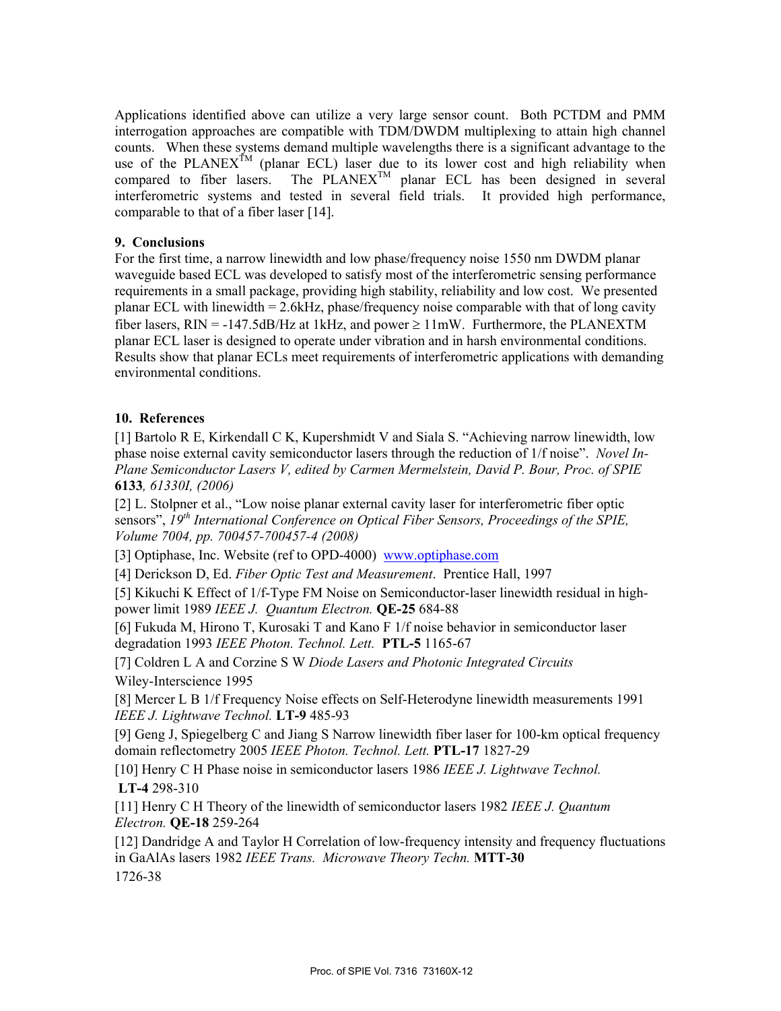Applications identified above can utilize a very large sensor count. Both PCTDM and PMM interrogation approaches are compatible with TDM/DWDM multiplexing to attain high channel counts. When these systems demand multiple wavelengths there is a significant advantage to the use of the PLANEX<sup>TM</sup> (planar ECL) laser due to its lower cost and high reliability when compared to fiber lasers. The  $PLANEX^{TM}$  planar ECL has been designed in several interferometric systems and tested in several field trials. It provided high performance, comparable to that of a fiber laser [14].

# **9. Conclusions**

For the first time, a narrow linewidth and low phase/frequency noise 1550 nm DWDM planar waveguide based ECL was developed to satisfy most of the interferometric sensing performance requirements in a small package, providing high stability, reliability and low cost. We presented planar ECL with linewidth = 2.6kHz, phase/frequency noise comparable with that of long cavity fiber lasers,  $RIN = -147.5dB/Hz$  at 1kHz, and power  $\ge 11$  mW. Furthermore, the PLANEXTM planar ECL laser is designed to operate under vibration and in harsh environmental conditions. Results show that planar ECLs meet requirements of interferometric applications with demanding environmental conditions.

#### **10. References**

[1] Bartolo R E, Kirkendall C K, Kupershmidt V and Siala S. "Achieving narrow linewidth, low phase noise external cavity semiconductor lasers through the reduction of 1/f noise". *Novel In-Plane Semiconductor Lasers V, edited by Carmen Mermelstein, David P. Bour, Proc. of SPIE*  **6133***, 61330I, (2006)* 

[2] L. Stolpner et al., "Low noise planar external cavity laser for interferometric fiber optic sensors", *19th International Conference on Optical Fiber Sensors, Proceedings of the SPIE, Volume 7004, pp. 700457-700457-4 (2008)* 

[3] Optiphase, Inc. Website (ref to OPD-4000) www.optiphase.com

[4] Derickson D, Ed. *Fiber Optic Test and Measurement*. Prentice Hall, 1997

[5] Kikuchi K Effect of 1/f-Type FM Noise on Semiconductor-laser linewidth residual in highpower limit 1989 *IEEE J. Quantum Electron.* **QE-25** 684-88

[6] Fukuda M, Hirono T, Kurosaki T and Kano F 1/f noise behavior in semiconductor laser degradation 1993 *IEEE Photon. Technol. Lett.* **PTL-5** 1165-67

[7] Coldren L A and Corzine S W *Diode Lasers and Photonic Integrated Circuits* Wiley-Interscience 1995

[8] Mercer L B 1/f Frequency Noise effects on Self-Heterodyne linewidth measurements 1991 *IEEE J. Lightwave Technol.* **LT-9** 485-93

[9] Geng J, Spiegelberg C and Jiang S Narrow linewidth fiber laser for 100-km optical frequency domain reflectometry 2005 *IEEE Photon. Technol. Lett.* **PTL-17** 1827-29

[10] Henry C H Phase noise in semiconductor lasers 1986 *IEEE J. Lightwave Technol.*  **LT-4** 298-310

[11] Henry C H Theory of the linewidth of semiconductor lasers 1982 *IEEE J. Quantum Electron.* **QE-18** 259-264

[12] Dandridge A and Taylor H Correlation of low-frequency intensity and frequency fluctuations in GaAlAs lasers 1982 *IEEE Trans. Microwave Theory Techn.* **MTT-30** 1726-38